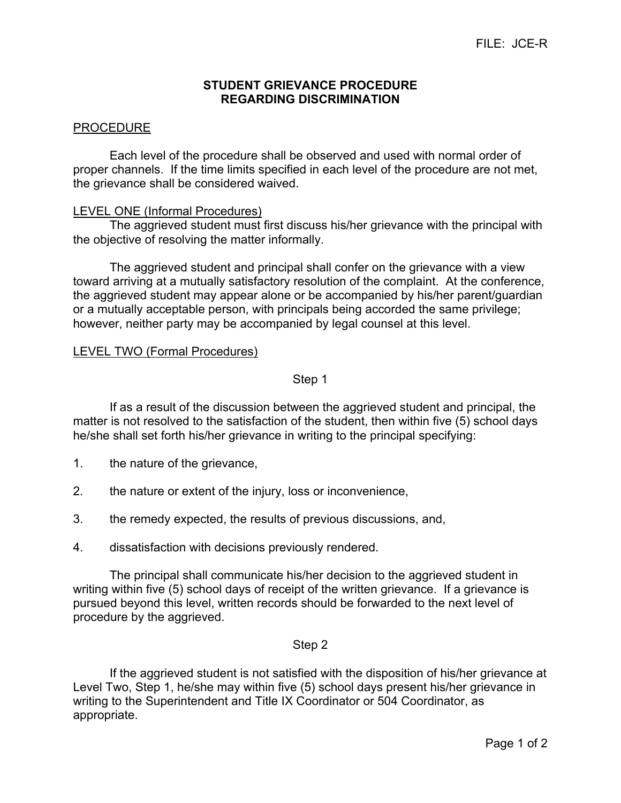## **STUDENT GRIEVANCE PROCEDURE REGARDING DISCRIMINATION**

# PROCEDURE

Each level of the procedure shall be observed and used with normal order of proper channels. If the time limits specified in each level of the procedure are not met, the grievance shall be considered waived.

### LEVEL ONE (Informal Procedures)

The aggrieved student must first discuss his/her grievance with the principal with the objective of resolving the matter informally.

The aggrieved student and principal shall confer on the grievance with a view toward arriving at a mutually satisfactory resolution of the complaint. At the conference, the aggrieved student may appear alone or be accompanied by his/her parent/guardian or a mutually acceptable person, with principals being accorded the same privilege; however, neither party may be accompanied by legal counsel at this level.

## LEVEL TWO (Formal Procedures)

## Step 1

If as a result of the discussion between the aggrieved student and principal, the matter is not resolved to the satisfaction of the student, then within five (5) school days he/she shall set forth his/her grievance in writing to the principal specifying:

- 1. the nature of the grievance,
- 2. the nature or extent of the injury, loss or inconvenience,
- 3. the remedy expected, the results of previous discussions, and,
- 4. dissatisfaction with decisions previously rendered.

The principal shall communicate his/her decision to the aggrieved student in writing within five (5) school days of receipt of the written grievance. If a grievance is pursued beyond this level, written records should be forwarded to the next level of procedure by the aggrieved.

### Step 2

If the aggrieved student is not satisfied with the disposition of his/her grievance at Level Two, Step 1, he/she may within five (5) school days present his/her grievance in writing to the Superintendent and Title IX Coordinator or 504 Coordinator, as appropriate.